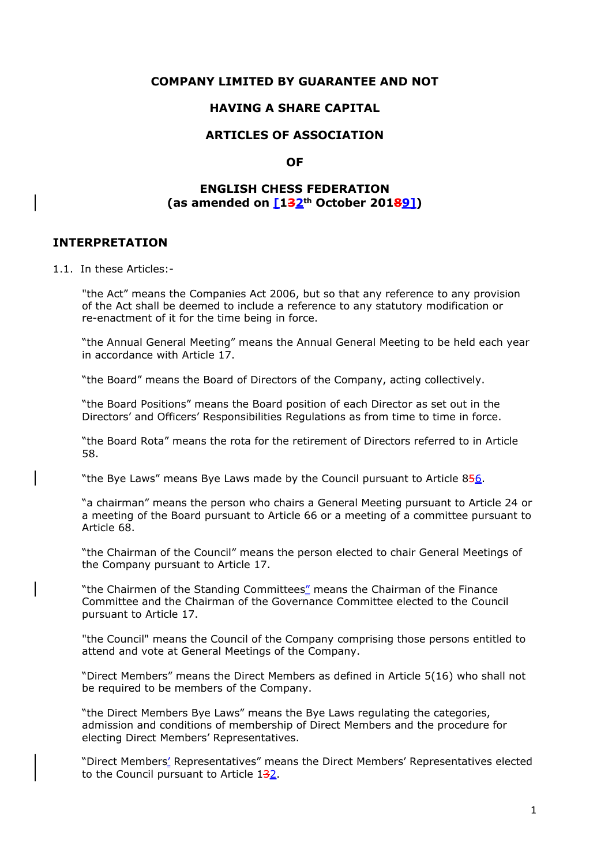#### **COMPANY LIMITED BY GUARANTEE AND NOT**

#### **HAVING A SHARE CAPITAL**

### **ARTICLES OF ASSOCIATION**

#### **OF**

#### **ENGLISH CHESS FEDERATION (as amended on [132th October 20189])**

# **INTERPRETATION**

1.1. In these Articles:-

"the Act" means the Companies Act 2006, but so that any reference to any provision of the Act shall be deemed to include a reference to any statutory modification or re-enactment of it for the time being in force.

"the Annual General Meeting" means the Annual General Meeting to be held each year in accordance with Article 17.

"the Board" means the Board of Directors of the Company, acting collectively.

"the Board Positions" means the Board position of each Director as set out in the Directors' and Officers' Responsibilities Regulations as from time to time in force.

"the Board Rota" means the rota for the retirement of Directors referred to in Article 58.

"the Bye Laws" means Bye Laws made by the Council pursuant to Article 856.

"a chairman" means the person who chairs a General Meeting pursuant to Article 24 or a meeting of the Board pursuant to Article 66 or a meeting of a committee pursuant to Article 68.

"the Chairman of the Council" means the person elected to chair General Meetings of the Company pursuant to Article 17.

"the Chairmen of the Standing Committees" means the Chairman of the Finance Committee and the Chairman of the Governance Committee elected to the Council pursuant to Article 17.

"the Council" means the Council of the Company comprising those persons entitled to attend and vote at General Meetings of the Company.

"Direct Members" means the Direct Members as defined in Article 5(16) who shall not be required to be members of the Company.

"the Direct Members Bye Laws" means the Bye Laws regulating the categories, admission and conditions of membership of Direct Members and the procedure for electing Direct Members' Representatives.

 "Direct Members' Representatives" means the Direct Members' Representatives elected to the Council pursuant to Article 132.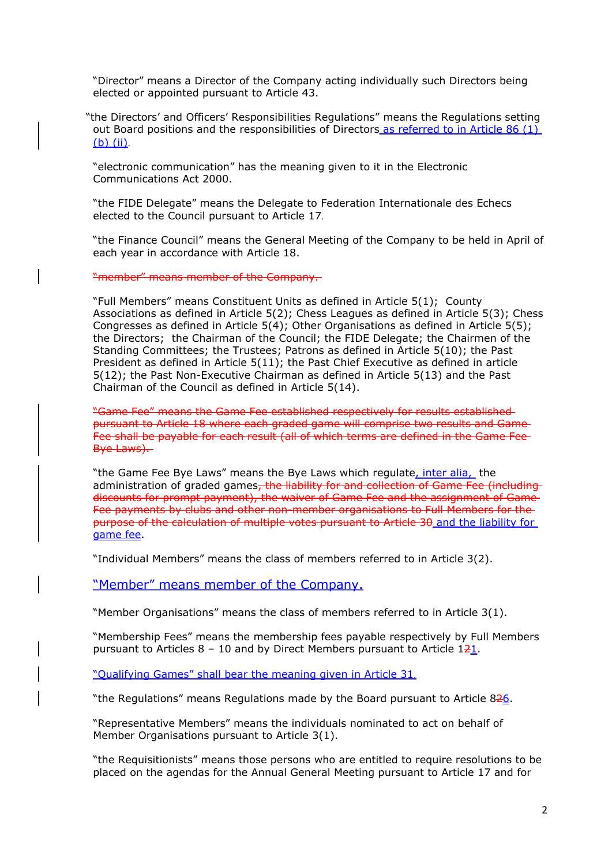"Director" means a Director of the Company acting individually such Directors being elected or appointed pursuant to Article 43.

"the Directors' and Officers' Responsibilities Regulations" means the Regulations setting out Board positions and the responsibilities of Directors as referred to in Article 86 (1) (b) (ii).

"electronic communication" has the meaning given to it in the Electronic Communications Act 2000.

"the FIDE Delegate" means the Delegate to Federation Internationale des Echecs elected to the Council pursuant to Article 17.

 "the Finance Council" means the General Meeting of the Company to be held in April of each year in accordance with Article 18.

"member" means member of the Company.

"Full Members" means Constituent Units as defined in Article 5(1); County Associations as defined in Article 5(2); Chess Leagues as defined in Article 5(3); Chess Congresses as defined in Article 5(4); Other Organisations as defined in Article 5(5); the Directors; the Chairman of the Council; the FIDE Delegate; the Chairmen of the Standing Committees; the Trustees; Patrons as defined in Article 5(10); the Past President as defined in Article 5(11); the Past Chief Executive as defined in article 5(12); the Past Non-Executive Chairman as defined in Article 5(13) and the Past Chairman of the Council as defined in Article 5(14).

"Game Fee" means the Game Fee established respectively for results established pursuant to Article 18 where each graded game will comprise two results and Game Fee shall be payable for each result (all of which terms are defined in the Game Fee Bye Laws).

"the Game Fee Bye Laws" means the Bye Laws which regulate, inter alia, the administration of graded games, the liability for and collection of Game Fee (including discounts for prompt payment), the waiver of Game Fee and the assignment of Game Fee payments by clubs and other non-member organisations to Full Members for the purpose of the calculation of multiple votes pursuant to Article 30 and the liability for game fee.

"Individual Members" means the class of members referred to in Article 3(2).

"Member" means member of the Company.

"Member Organisations" means the class of members referred to in Article 3(1).

"Membership Fees" means the membership fees payable respectively by Full Members pursuant to Articles  $8 - 10$  and by Direct Members pursuant to Article 121.

"Qualifying Games" shall bear the meaning given in Article 31.

"the Regulations" means Regulations made by the Board pursuant to Article 826.

"Representative Members" means the individuals nominated to act on behalf of Member Organisations pursuant to Article 3(1).

"the Requisitionists" means those persons who are entitled to require resolutions to be placed on the agendas for the Annual General Meeting pursuant to Article 17 and for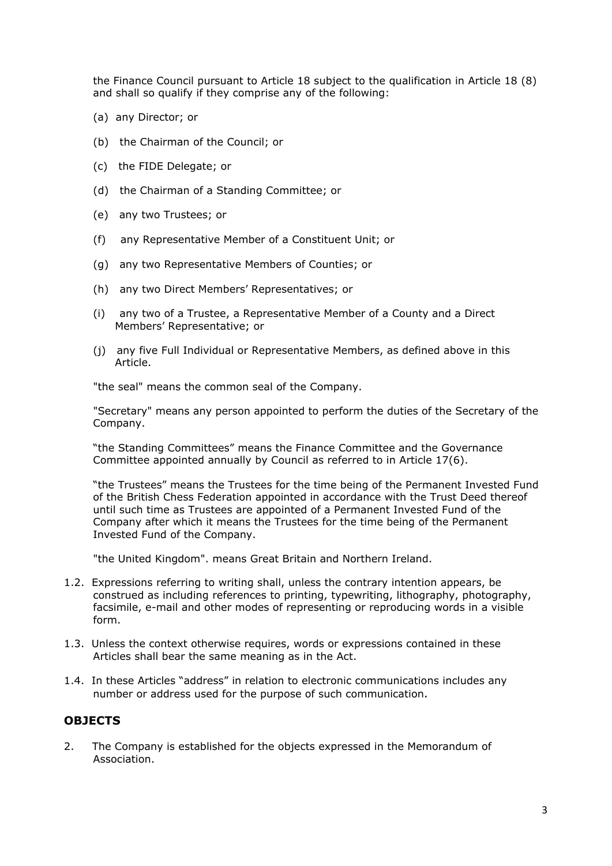the Finance Council pursuant to Article 18 subject to the qualification in Article 18 (8) and shall so qualify if they comprise any of the following:

- (a) any Director; or
- (b) the Chairman of the Council; or
- (c) the FIDE Delegate; or
- (d) the Chairman of a Standing Committee; or
- (e) any two Trustees; or
- (f) any Representative Member of a Constituent Unit; or
- (g) any two Representative Members of Counties; or
- (h) any two Direct Members' Representatives; or
- (i) any two of a Trustee, a Representative Member of a County and a Direct Members' Representative; or
- (j) any five Full Individual or Representative Members, as defined above in this Article.

"the seal" means the common seal of the Company.

"Secretary" means any person appointed to perform the duties of the Secretary of the Company.

"the Standing Committees" means the Finance Committee and the Governance Committee appointed annually by Council as referred to in Article 17(6).

"the Trustees" means the Trustees for the time being of the Permanent Invested Fund of the British Chess Federation appointed in accordance with the Trust Deed thereof until such time as Trustees are appointed of a Permanent Invested Fund of the Company after which it means the Trustees for the time being of the Permanent Invested Fund of the Company.

"the United Kingdom". means Great Britain and Northern Ireland.

- 1.2. Expressions referring to writing shall, unless the contrary intention appears, be construed as including references to printing, typewriting, lithography, photography, facsimile, e-mail and other modes of representing or reproducing words in a visible form.
- 1.3. Unless the context otherwise requires, words or expressions contained in these Articles shall bear the same meaning as in the Act.
- 1.4. In these Articles "address" in relation to electronic communications includes any number or address used for the purpose of such communication.

#### **OBJECTS**

2. The Company is established for the objects expressed in the Memorandum of Association.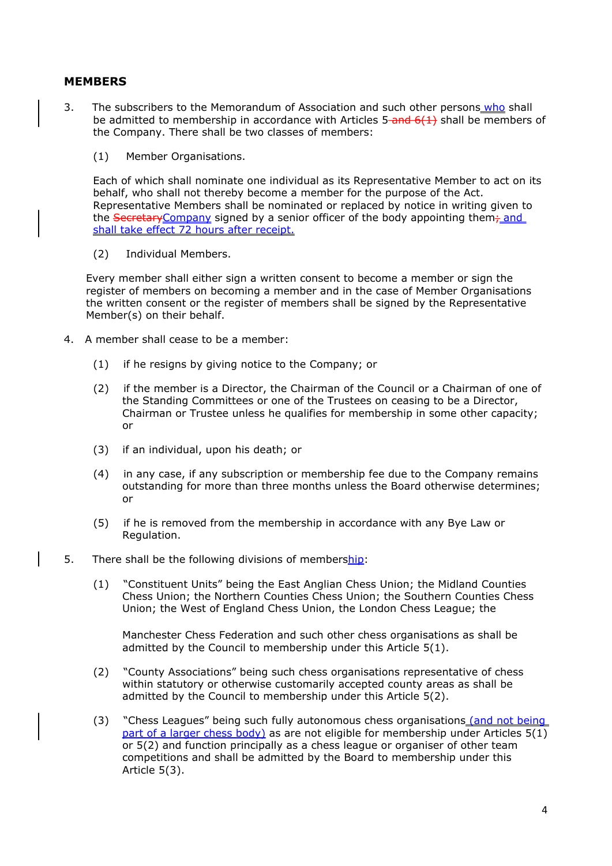### **MEMBERS**

- 3. The subscribers to the Memorandum of Association and such other persons who shall be admitted to membership in accordance with Articles  $5$ -and  $6(1)$  shall be members of the Company. There shall be two classes of members:
	- (1) Member Organisations.

Each of which shall nominate one individual as its Representative Member to act on its behalf, who shall not thereby become a member for the purpose of the Act. Representative Members shall be nominated or replaced by notice in writing given to the Secretary Company signed by a senior officer of the body appointing them<sub>7</sub> and shall take effect 72 hours after receipt.

(2) Individual Members.

Every member shall either sign a written consent to become a member or sign the register of members on becoming a member and in the case of Member Organisations the written consent or the register of members shall be signed by the Representative Member(s) on their behalf.

- 4. A member shall cease to be a member:
	- (1) if he resigns by giving notice to the Company; or
	- (2) if the member is a Director, the Chairman of the Council or a Chairman of one of the Standing Committees or one of the Trustees on ceasing to be a Director, Chairman or Trustee unless he qualifies for membership in some other capacity; or
	- (3) if an individual, upon his death; or
	- (4) in any case, if any subscription or membership fee due to the Company remains outstanding for more than three months unless the Board otherwise determines; or
	- (5) if he is removed from the membership in accordance with any Bye Law or Regulation.
- 5. There shall be the following divisions of membership:
	- (1) "Constituent Units" being the East Anglian Chess Union; the Midland Counties Chess Union; the Northern Counties Chess Union; the Southern Counties Chess Union; the West of England Chess Union, the London Chess League; the

Manchester Chess Federation and such other chess organisations as shall be admitted by the Council to membership under this Article 5(1).

- (2) "County Associations" being such chess organisations representative of chess within statutory or otherwise customarily accepted county areas as shall be admitted by the Council to membership under this Article 5(2).
- (3) "Chess Leagues" being such fully autonomous chess organisations (and not being part of a larger chess body) as are not eligible for membership under Articles  $5(1)$ or 5(2) and function principally as a chess league or organiser of other team competitions and shall be admitted by the Board to membership under this Article 5(3).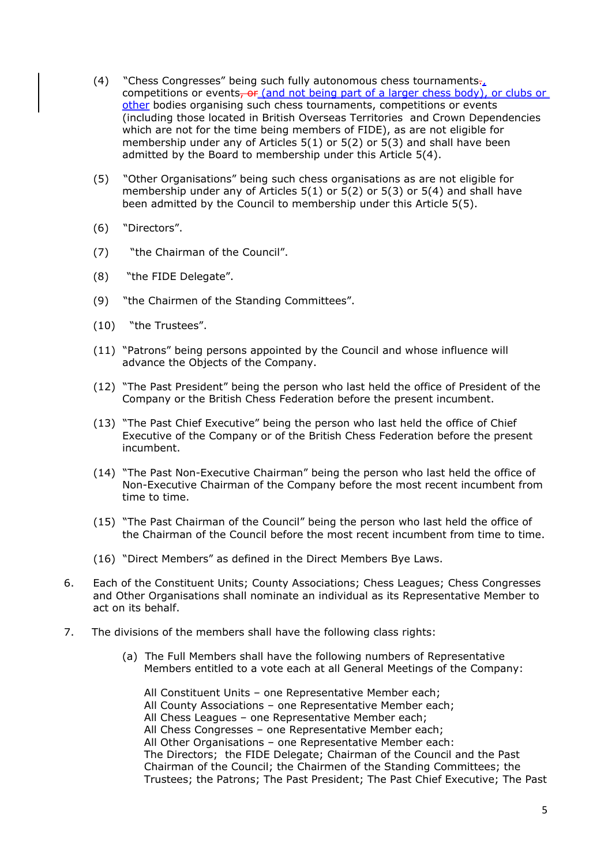- (4) "Chess Congresses" being such fully autonomous chess tournaments $\tau_{t}$ competitions or events, or (and not being part of a larger chess body), or clubs or other bodies organising such chess tournaments, competitions or events (including those located in British Overseas Territories and Crown Dependencies which are not for the time being members of FIDE), as are not eligible for membership under any of Articles 5(1) or 5(2) or 5(3) and shall have been admitted by the Board to membership under this Article 5(4).
- (5) "Other Organisations" being such chess organisations as are not eligible for membership under any of Articles  $5(1)$  or  $5(2)$  or  $5(3)$  or  $5(4)$  and shall have been admitted by the Council to membership under this Article 5(5).
- (6) "Directors".
- (7) "the Chairman of the Council".
- (8) "the FIDE Delegate".
- (9) "the Chairmen of the Standing Committees".
- (10) "the Trustees".
- (11) "Patrons" being persons appointed by the Council and whose influence will advance the Objects of the Company.
- (12) "The Past President" being the person who last held the office of President of the Company or the British Chess Federation before the present incumbent.
- (13) "The Past Chief Executive" being the person who last held the office of Chief Executive of the Company or of the British Chess Federation before the present incumbent.
- (14) "The Past Non-Executive Chairman" being the person who last held the office of Non-Executive Chairman of the Company before the most recent incumbent from time to time.
- (15) "The Past Chairman of the Council" being the person who last held the office of the Chairman of the Council before the most recent incumbent from time to time.
- (16) "Direct Members" as defined in the Direct Members Bye Laws.
- 6. Each of the Constituent Units; County Associations; Chess Leagues; Chess Congresses and Other Organisations shall nominate an individual as its Representative Member to act on its behalf.
- 7. The divisions of the members shall have the following class rights:
	- (a) The Full Members shall have the following numbers of Representative Members entitled to a vote each at all General Meetings of the Company:

All Constituent Units – one Representative Member each; All County Associations – one Representative Member each; All Chess Leagues – one Representative Member each; All Chess Congresses – one Representative Member each; All Other Organisations – one Representative Member each: The Directors; the FIDE Delegate; Chairman of the Council and the Past Chairman of the Council; the Chairmen of the Standing Committees; the Trustees; the Patrons; The Past President; The Past Chief Executive; The Past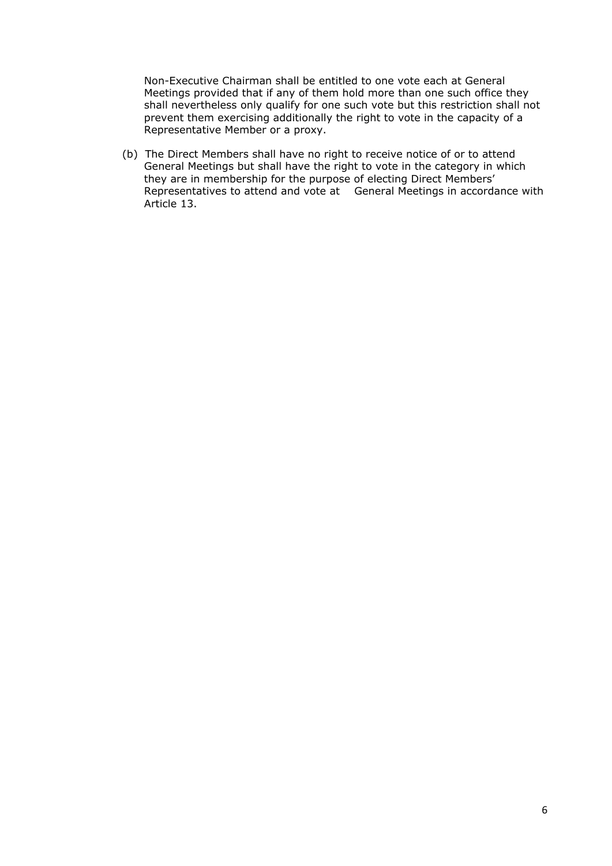Non-Executive Chairman shall be entitled to one vote each at General Meetings provided that if any of them hold more than one such office they shall nevertheless only qualify for one such vote but this restriction shall not prevent them exercising additionally the right to vote in the capacity of a Representative Member or a proxy.

(b) The Direct Members shall have no right to receive notice of or to attend General Meetings but shall have the right to vote in the category in which they are in membership for the purpose of electing Direct Members' Representatives to attend and vote at General Meetings in accordance with Article 13.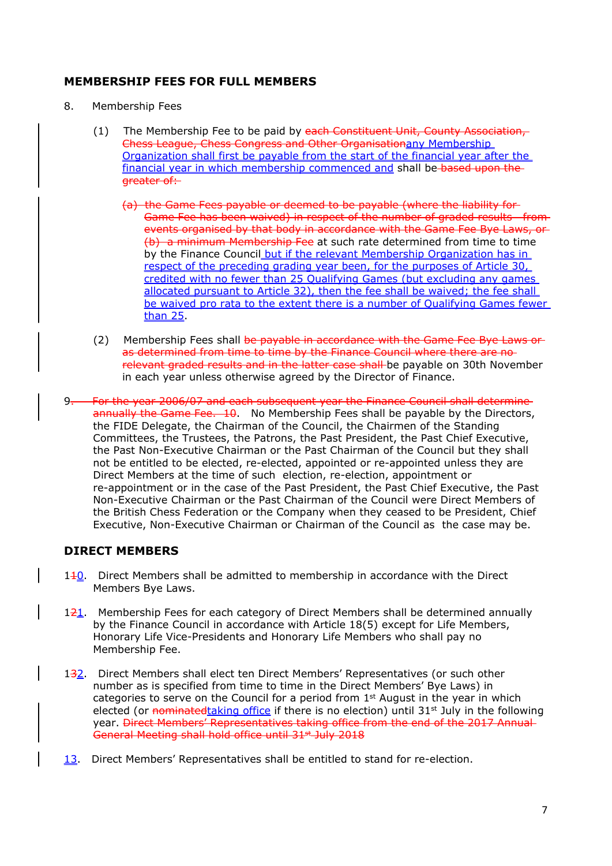# **MEMBERSHIP FEES FOR FULL MEMBERS**

- 8. Membership Fees
	- (1) The Membership Fee to be paid by each Constituent Unit, County Association, Chess League, Chess Congress and Other Organisationany Membership Organization shall first be payable from the start of the financial year after the financial year in which membership commenced and shall be based upon the greater of:
		- (a) the Game Fees payable or deemed to be payable (where the liability for Game Fee has been waived) in respect of the number of graded results from events organised by that body in accordance with the Game Fee Bye Laws, or (b) a minimum Membership Fee at such rate determined from time to time by the Finance Council but if the relevant Membership Organization has in respect of the preceding grading year been, for the purposes of Article 30, credited with no fewer than 25 Qualifying Games (but excluding any games allocated pursuant to Article 32), then the fee shall be waived; the fee shall be waived pro rata to the extent there is a number of Qualifying Games fewer than 25.
	- (2) Membership Fees shall be payable in accordance with the Game Fee Bye Laws or as determined from time to time by the Finance Council where there are norelevant graded results and in the latter case shall be payable on 30th November in each year unless otherwise agreed by the Director of Finance.
- 9. For the year 2006/07 and each subsequent year the Finance Council shall determine annually the Game Fee. 10. No Membership Fees shall be payable by the Directors, the FIDE Delegate, the Chairman of the Council, the Chairmen of the Standing Committees, the Trustees, the Patrons, the Past President, the Past Chief Executive, the Past Non-Executive Chairman or the Past Chairman of the Council but they shall not be entitled to be elected, re-elected, appointed or re-appointed unless they are Direct Members at the time of such election, re-election, appointment or re-appointment or in the case of the Past President, the Past Chief Executive, the Past Non-Executive Chairman or the Past Chairman of the Council were Direct Members of the British Chess Federation or the Company when they ceased to be President, Chief Executive, Non-Executive Chairman or Chairman of the Council as the case may be.

# **DIRECT MEMBERS**

- 1<sup>1</sup>0. Direct Members shall be admitted to membership in accordance with the Direct Members Bye Laws.
- $121$ . Membership Fees for each category of Direct Members shall be determined annually by the Finance Council in accordance with Article 18(5) except for Life Members, Honorary Life Vice-Presidents and Honorary Life Members who shall pay no Membership Fee.
- 132. Direct Members shall elect ten Direct Members' Representatives (or such other number as is specified from time to time in the Direct Members' Bye Laws) in categories to serve on the Council for a period from  $1<sup>st</sup>$  August in the year in which elected (or nominated taking office if there is no election) until  $31<sup>st</sup>$  July in the following year. Direct Members' Representatives taking office from the end of the 2017 Annual General Meeting shall hold office until 31<sup>st</sup> July 2018
- 13. Direct Members' Representatives shall be entitled to stand for re-election.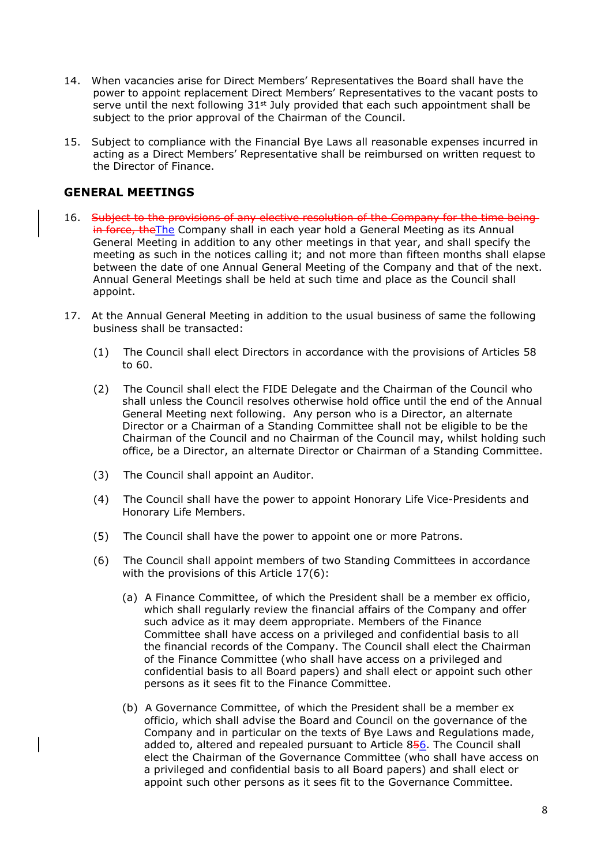- 14. When vacancies arise for Direct Members' Representatives the Board shall have the power to appoint replacement Direct Members' Representatives to the vacant posts to serve until the next following  $31<sup>st</sup>$  July provided that each such appointment shall be subject to the prior approval of the Chairman of the Council.
- 15. Subject to compliance with the Financial Bye Laws all reasonable expenses incurred in acting as a Direct Members' Representative shall be reimbursed on written request to the Director of Finance.

#### **GENERAL MEETINGS**

- 16. Subject to the provisions of any elective resolution of the Company for the time beingin force, the The Company shall in each year hold a General Meeting as its Annual General Meeting in addition to any other meetings in that year, and shall specify the meeting as such in the notices calling it; and not more than fifteen months shall elapse between the date of one Annual General Meeting of the Company and that of the next. Annual General Meetings shall be held at such time and place as the Council shall appoint.
- 17. At the Annual General Meeting in addition to the usual business of same the following business shall be transacted:
	- (1) The Council shall elect Directors in accordance with the provisions of Articles 58 to 60.
	- (2) The Council shall elect the FIDE Delegate and the Chairman of the Council who shall unless the Council resolves otherwise hold office until the end of the Annual General Meeting next following. Any person who is a Director, an alternate Director or a Chairman of a Standing Committee shall not be eligible to be the Chairman of the Council and no Chairman of the Council may, whilst holding such office, be a Director, an alternate Director or Chairman of a Standing Committee.
	- (3) The Council shall appoint an Auditor.
	- (4) The Council shall have the power to appoint Honorary Life Vice-Presidents and Honorary Life Members.
	- (5) The Council shall have the power to appoint one or more Patrons.
	- (6) The Council shall appoint members of two Standing Committees in accordance with the provisions of this Article 17(6):
		- (a) A Finance Committee, of which the President shall be a member ex officio, which shall regularly review the financial affairs of the Company and offer such advice as it may deem appropriate. Members of the Finance Committee shall have access on a privileged and confidential basis to all the financial records of the Company. The Council shall elect the Chairman of the Finance Committee (who shall have access on a privileged and confidential basis to all Board papers) and shall elect or appoint such other persons as it sees fit to the Finance Committee.
		- (b) A Governance Committee, of which the President shall be a member ex officio, which shall advise the Board and Council on the governance of the Company and in particular on the texts of Bye Laws and Regulations made, added to, altered and repealed pursuant to Article 856. The Council shall elect the Chairman of the Governance Committee (who shall have access on a privileged and confidential basis to all Board papers) and shall elect or appoint such other persons as it sees fit to the Governance Committee.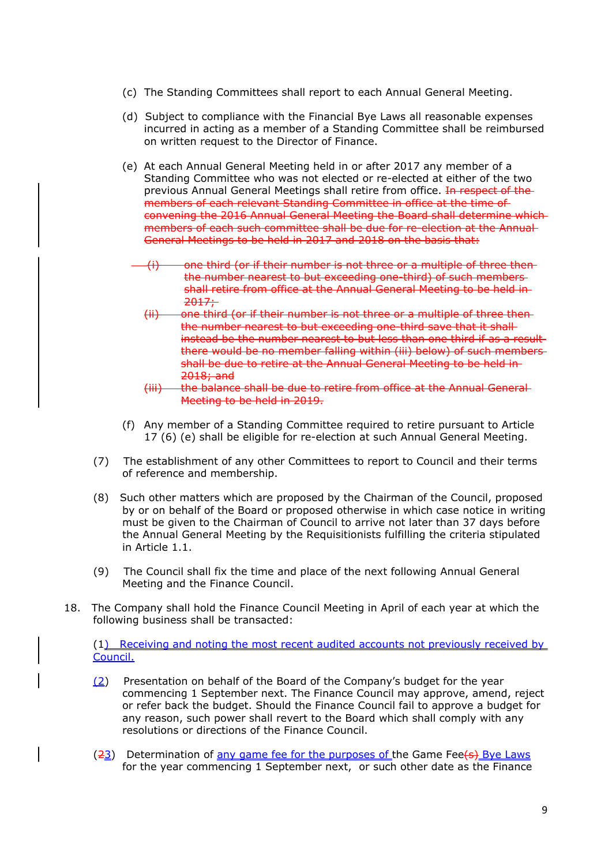- (c) The Standing Committees shall report to each Annual General Meeting.
- (d) Subject to compliance with the Financial Bye Laws all reasonable expenses incurred in acting as a member of a Standing Committee shall be reimbursed on written request to the Director of Finance.
- (e) At each Annual General Meeting held in or after 2017 any member of a Standing Committee who was not elected or re-elected at either of the two previous Annual General Meetings shall retire from office. In respect of the members of each relevant Standing Committee in office at the time of convening the 2016 Annual General Meeting the Board shall determine which members of each such committee shall be due for re-election at the Annual General Meetings to be held in 2017 and 2018 on the basis that:
	- $(i)$  one third (or if their number is not three or a multiple of three thenthe number nearest to but exceeding one-third) of such members shall retire from office at the Annual General Meeting to be held in  $2017+$ 
		- (ii) one third (or if their number is not three or a multiple of three then the number nearest to but exceeding one-third save that it shall instead be the number nearest to but less than one third if as a resultthere would be no member falling within (iii) below) of such members shall be due to retire at the Annual General Meeting to be held in 2018; and
	- (iii) the balance shall be due to retire from office at the Annual General Meeting to be held in 2019.
- (f) Any member of a Standing Committee required to retire pursuant to Article 17 (6) (e) shall be eligible for re-election at such Annual General Meeting.
- (7) The establishment of any other Committees to report to Council and their terms of reference and membership.
- (8) Such other matters which are proposed by the Chairman of the Council, proposed by or on behalf of the Board or proposed otherwise in which case notice in writing must be given to the Chairman of Council to arrive not later than 37 days before the Annual General Meeting by the Requisitionists fulfilling the criteria stipulated in Article 1.1.
- (9) The Council shall fix the time and place of the next following Annual General Meeting and the Finance Council.
- 18. The Company shall hold the Finance Council Meeting in April of each year at which the following business shall be transacted:

(1) Receiving and noting the most recent audited accounts not previously received by Council.

- (2) Presentation on behalf of the Board of the Company's budget for the year commencing 1 September next. The Finance Council may approve, amend, reject or refer back the budget. Should the Finance Council fail to approve a budget for any reason, such power shall revert to the Board which shall comply with any resolutions or directions of the Finance Council.
- (23) Determination of any game fee for the purposes of the Game Fee(s) Bye Laws for the year commencing 1 September next, or such other date as the Finance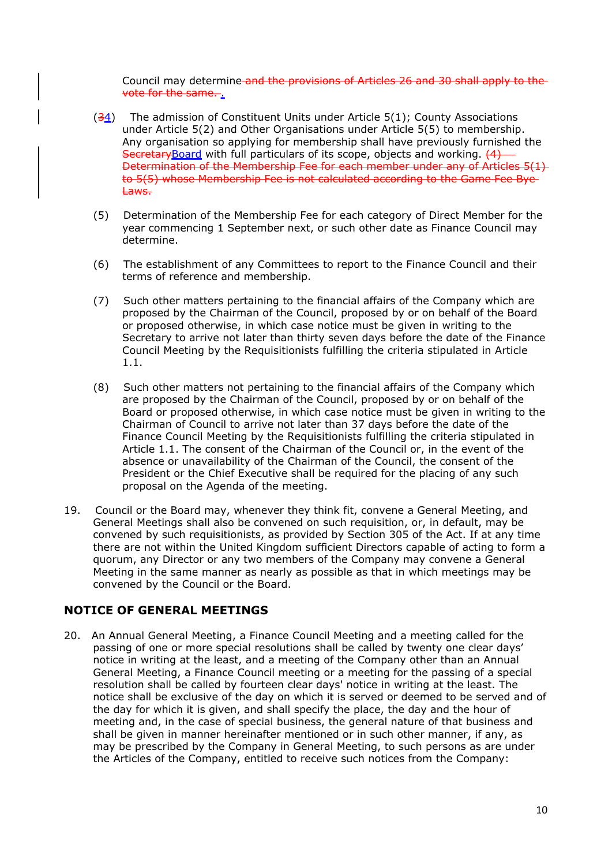Council may determine and the provisions of Articles 26 and 30 shall apply to the vote for the same...

- $(34)$  The admission of Constituent Units under Article 5(1); County Associations under Article 5(2) and Other Organisations under Article 5(5) to membership. Any organisation so applying for membership shall have previously furnished the SecretaryBoard with full particulars of its scope, objects and working. (4) Determination of the Membership Fee for each member under any of Articles 5(1) to 5(5) whose Membership Fee is not calculated according to the Game Fee Bye Laws.
- (5) Determination of the Membership Fee for each category of Direct Member for the year commencing 1 September next, or such other date as Finance Council may determine.
- (6) The establishment of any Committees to report to the Finance Council and their terms of reference and membership.
- (7) Such other matters pertaining to the financial affairs of the Company which are proposed by the Chairman of the Council, proposed by or on behalf of the Board or proposed otherwise, in which case notice must be given in writing to the Secretary to arrive not later than thirty seven days before the date of the Finance Council Meeting by the Requisitionists fulfilling the criteria stipulated in Article 1.1.
- (8) Such other matters not pertaining to the financial affairs of the Company which are proposed by the Chairman of the Council, proposed by or on behalf of the Board or proposed otherwise, in which case notice must be given in writing to the Chairman of Council to arrive not later than 37 days before the date of the Finance Council Meeting by the Requisitionists fulfilling the criteria stipulated in Article 1.1. The consent of the Chairman of the Council or, in the event of the absence or unavailability of the Chairman of the Council, the consent of the President or the Chief Executive shall be required for the placing of any such proposal on the Agenda of the meeting.
- 19. Council or the Board may, whenever they think fit, convene a General Meeting, and General Meetings shall also be convened on such requisition, or, in default, may be convened by such requisitionists, as provided by Section 305 of the Act. If at any time there are not within the United Kingdom sufficient Directors capable of acting to form a quorum, any Director or any two members of the Company may convene a General Meeting in the same manner as nearly as possible as that in which meetings may be convened by the Council or the Board.

# **NOTICE OF GENERAL MEETINGS**

20. An Annual General Meeting, a Finance Council Meeting and a meeting called for the passing of one or more special resolutions shall be called by twenty one clear days' notice in writing at the least, and a meeting of the Company other than an Annual General Meeting, a Finance Council meeting or a meeting for the passing of a special resolution shall be called by fourteen clear days' notice in writing at the least. The notice shall be exclusive of the day on which it is served or deemed to be served and of the day for which it is given, and shall specify the place, the day and the hour of meeting and, in the case of special business, the general nature of that business and shall be given in manner hereinafter mentioned or in such other manner, if any, as may be prescribed by the Company in General Meeting, to such persons as are under the Articles of the Company, entitled to receive such notices from the Company: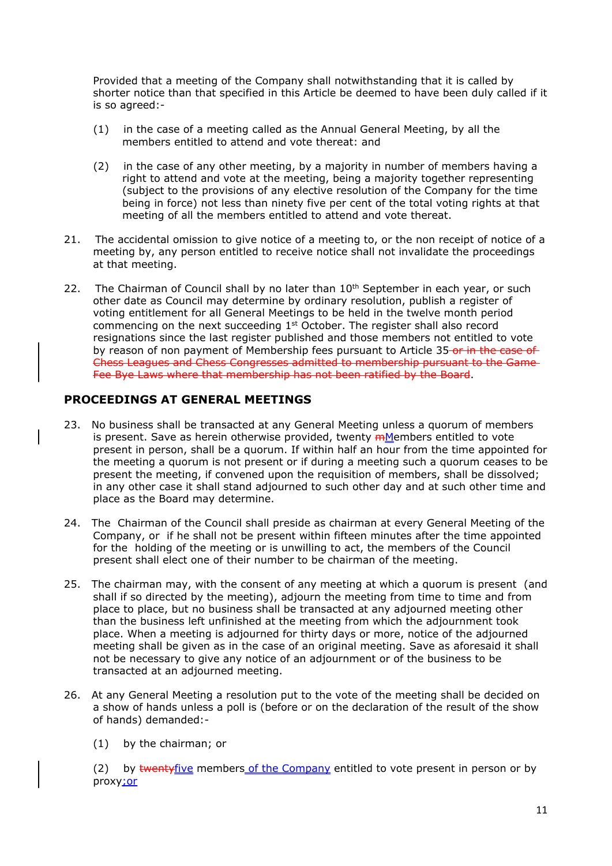Provided that a meeting of the Company shall notwithstanding that it is called by shorter notice than that specified in this Article be deemed to have been duly called if it is so agreed:-

- (1) in the case of a meeting called as the Annual General Meeting, by all the members entitled to attend and vote thereat: and
- (2) in the case of any other meeting, by a majority in number of members having a right to attend and vote at the meeting, being a majority together representing (subject to the provisions of any elective resolution of the Company for the time being in force) not less than ninety five per cent of the total voting rights at that meeting of all the members entitled to attend and vote thereat.
- 21. The accidental omission to give notice of a meeting to, or the non receipt of notice of a meeting by, any person entitled to receive notice shall not invalidate the proceedings at that meeting.
- 22. The Chairman of Council shall by no later than  $10<sup>th</sup>$  September in each year, or such other date as Council may determine by ordinary resolution, publish a register of voting entitlement for all General Meetings to be held in the twelve month period commencing on the next succeeding  $1<sup>st</sup>$  October. The register shall also record resignations since the last register published and those members not entitled to vote by reason of non payment of Membership fees pursuant to Article 35-or in the case of Chess Leagues and Chess Congresses admitted to membership pursuant to the Game Fee Bye Laws where that membership has not been ratified by the Board.

# **PROCEEDINGS AT GENERAL MEETINGS**

- 23. No business shall be transacted at any General Meeting unless a quorum of members is present. Save as herein otherwise provided, twenty  $m$ Members entitled to vote present in person, shall be a quorum. If within half an hour from the time appointed for the meeting a quorum is not present or if during a meeting such a quorum ceases to be present the meeting, if convened upon the requisition of members, shall be dissolved; in any other case it shall stand adjourned to such other day and at such other time and place as the Board may determine.
- 24. The Chairman of the Council shall preside as chairman at every General Meeting of the Company, or if he shall not be present within fifteen minutes after the time appointed for the holding of the meeting or is unwilling to act, the members of the Council present shall elect one of their number to be chairman of the meeting.
- 25. The chairman may, with the consent of any meeting at which a quorum is present (and shall if so directed by the meeting), adjourn the meeting from time to time and from place to place, but no business shall be transacted at any adjourned meeting other than the business left unfinished at the meeting from which the adjournment took place. When a meeting is adjourned for thirty days or more, notice of the adjourned meeting shall be given as in the case of an original meeting. Save as aforesaid it shall not be necessary to give any notice of an adjournment or of the business to be transacted at an adjourned meeting.
- 26. At any General Meeting a resolution put to the vote of the meeting shall be decided on a show of hands unless a poll is (before or on the declaration of the result of the show of hands) demanded:-
	- (1) by the chairman; or

(2) by twentyfive members of the Company entitled to vote present in person or by proxy<sub>ior</sub>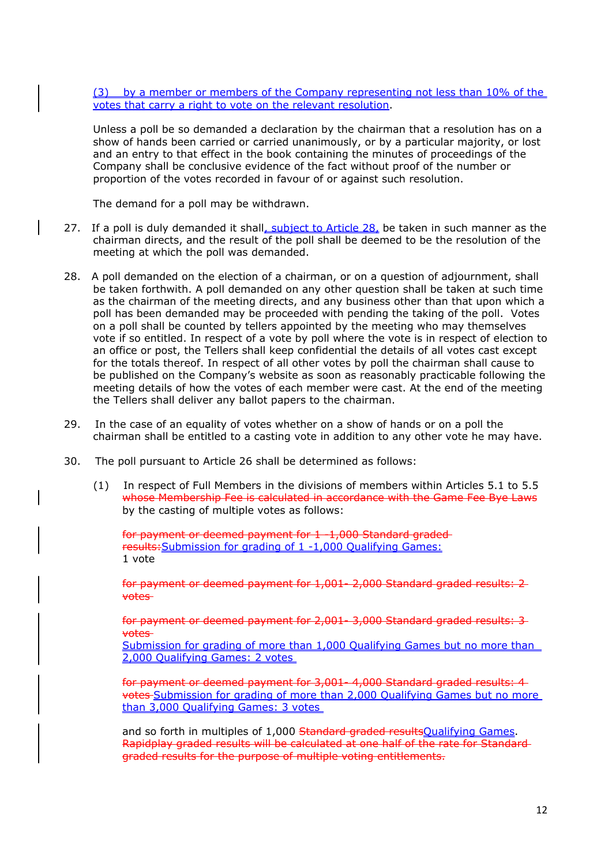(3) by a member or members of the Company representing not less than 10% of the votes that carry a right to vote on the relevant resolution.

Unless a poll be so demanded a declaration by the chairman that a resolution has on a show of hands been carried or carried unanimously, or by a particular majority, or lost and an entry to that effect in the book containing the minutes of proceedings of the Company shall be conclusive evidence of the fact without proof of the number or proportion of the votes recorded in favour of or against such resolution.

The demand for a poll may be withdrawn.

- 27. If a poll is duly demanded it shall, subject to Article 28, be taken in such manner as the chairman directs, and the result of the poll shall be deemed to be the resolution of the meeting at which the poll was demanded.
- 28. A poll demanded on the election of a chairman, or on a question of adjournment, shall be taken forthwith. A poll demanded on any other question shall be taken at such time as the chairman of the meeting directs, and any business other than that upon which a poll has been demanded may be proceeded with pending the taking of the poll. Votes on a poll shall be counted by tellers appointed by the meeting who may themselves vote if so entitled. In respect of a vote by poll where the vote is in respect of election to an office or post, the Tellers shall keep confidential the details of all votes cast except for the totals thereof. In respect of all other votes by poll the chairman shall cause to be published on the Company's website as soon as reasonably practicable following the meeting details of how the votes of each member were cast. At the end of the meeting the Tellers shall deliver any ballot papers to the chairman.
- 29. In the case of an equality of votes whether on a show of hands or on a poll the chairman shall be entitled to a casting vote in addition to any other vote he may have.
- 30. The poll pursuant to Article 26 shall be determined as follows:
	- (1) In respect of Full Members in the divisions of members within Articles 5.1 to 5.5 whose Membership Fee is calculated in accordance with the Game Fee Bye Laws by the casting of multiple votes as follows:

for payment or deemed payment for 1 -1,000 Standard graded results:Submission for grading of 1 -1,000 Qualifying Games: 1 vote

for payment or deemed payment for 1,001- 2,000 Standard graded results: 2 votes

for payment or deemed payment for 2,001- 3,000 Standard graded results: 3 votes

Submission for grading of more than 1,000 Qualifying Games but no more than 2,000 Qualifying Games: 2 votes

for payment or deemed payment for 3,001- 4,000 Standard graded results: 4 votes Submission for grading of more than 2,000 Qualifying Games but no more than 3,000 Qualifying Games: 3 votes

and so forth in multiples of 1,000 Standard graded results Qualifying Games. Rapidplay graded results will be calculated at one half of the rate for Standard graded results for the purpose of multiple voting entitlements.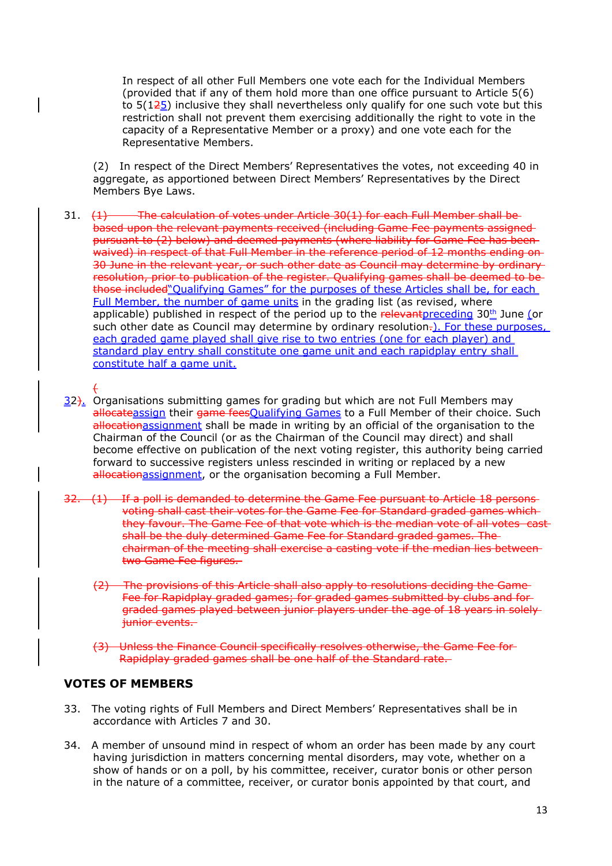In respect of all other Full Members one vote each for the Individual Members (provided that if any of them hold more than one office pursuant to Article 5(6) to  $5(125)$  inclusive they shall nevertheless only qualify for one such vote but this restriction shall not prevent them exercising additionally the right to vote in the capacity of a Representative Member or a proxy) and one vote each for the Representative Members.

(2) In respect of the Direct Members' Representatives the votes, not exceeding 40 in aggregate, as apportioned between Direct Members' Representatives by the Direct Members Bye Laws.

- 31. (1) The calculation of votes under Article 30(1) for each Full Member shall bebased upon the relevant payments received (including Game Fee payments assigned pursuant to (2) below) and deemed payments (where liability for Game Fee has been waived) in respect of that Full Member in the reference period of 12 months ending on 30 June in the relevant year, or such other date as Council may determine by ordinary resolution, prior to publication of the register. Qualifying games shall be deemed to be those included"Qualifying Games" for the purposes of these Articles shall be, for each Full Member, the number of game units in the grading list (as revised, where applicable) published in respect of the period up to the relevant preceding  $30<sup>th</sup>$  June (or such other date as Council may determine by ordinary resolution.). For these purposes, each graded game played shall give rise to two entries (one for each player) and standard play entry shall constitute one game unit and each rapidplay entry shall constitute half a game unit.
- (  $32$ ). Organisations submitting games for grading but which are not Full Members may allocateassign their game feesQualifying Games to a Full Member of their choice. Such allocationassignment shall be made in writing by an official of the organisation to the Chairman of the Council (or as the Chairman of the Council may direct) and shall become effective on publication of the next voting register, this authority being carried forward to successive registers unless rescinded in writing or replaced by a new allocationassignment, or the organisation becoming a Full Member.
	- 32. (1) If a poll is demanded to determine the Game Fee pursuant to Article 18 persons voting shall cast their votes for the Game Fee for Standard graded games which they favour. The Game Fee of that vote which is the median vote of all votes castshall be the duly determined Game Fee for Standard graded games. The chairman of the meeting shall exercise a casting vote if the median lies between two Game Fee figures.
		- (2) The provisions of this Article shall also apply to resolutions deciding the Game Fee for Rapidplay graded games; for graded games submitted by clubs and for graded games played between junior players under the age of 18 years in solely junior events.
		- (3) Unless the Finance Council specifically resolves otherwise, the Game Fee for Rapidplay graded games shall be one half of the Standard rate.

# **VOTES OF MEMBERS**

- 33. The voting rights of Full Members and Direct Members' Representatives shall be in accordance with Articles 7 and 30.
- 34. A member of unsound mind in respect of whom an order has been made by any court having jurisdiction in matters concerning mental disorders, may vote, whether on a show of hands or on a poll, by his committee, receiver, curator bonis or other person in the nature of a committee, receiver, or curator bonis appointed by that court, and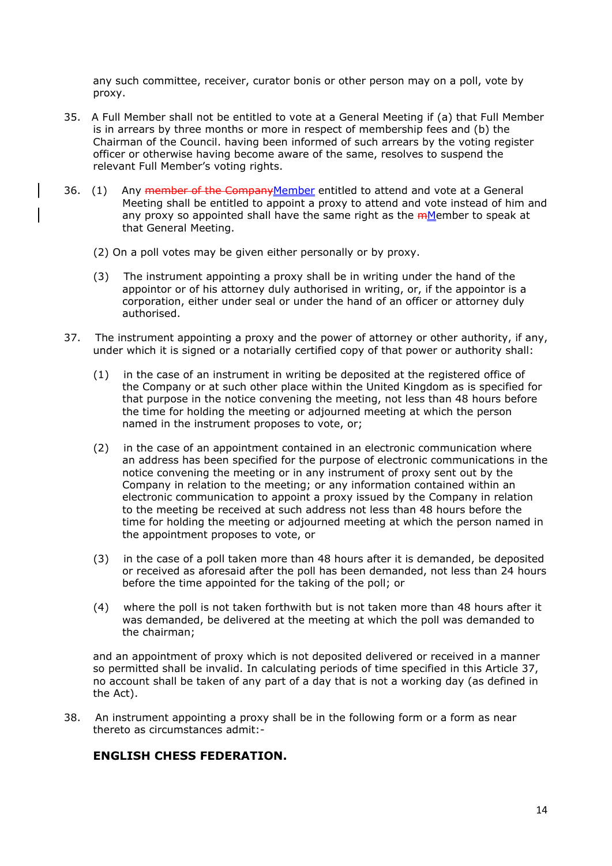any such committee, receiver, curator bonis or other person may on a poll, vote by proxy.

- 35. A Full Member shall not be entitled to vote at a General Meeting if (a) that Full Member is in arrears by three months or more in respect of membership fees and (b) the Chairman of the Council. having been informed of such arrears by the voting register officer or otherwise having become aware of the same, resolves to suspend the relevant Full Member's voting rights.
- 36. (1) Any member of the CompanyMember entitled to attend and vote at a General Meeting shall be entitled to appoint a proxy to attend and vote instead of him and any proxy so appointed shall have the same right as the *mMember to speak at* that General Meeting.
	- (2) On a poll votes may be given either personally or by proxy.
	- (3) The instrument appointing a proxy shall be in writing under the hand of the appointor or of his attorney duly authorised in writing, or, if the appointor is a corporation, either under seal or under the hand of an officer or attorney duly authorised.
- 37. The instrument appointing a proxy and the power of attorney or other authority, if any, under which it is signed or a notarially certified copy of that power or authority shall:
	- (1) in the case of an instrument in writing be deposited at the registered office of the Company or at such other place within the United Kingdom as is specified for that purpose in the notice convening the meeting, not less than 48 hours before the time for holding the meeting or adjourned meeting at which the person named in the instrument proposes to vote, or;
	- (2) in the case of an appointment contained in an electronic communication where an address has been specified for the purpose of electronic communications in the notice convening the meeting or in any instrument of proxy sent out by the Company in relation to the meeting; or any information contained within an electronic communication to appoint a proxy issued by the Company in relation to the meeting be received at such address not less than 48 hours before the time for holding the meeting or adjourned meeting at which the person named in the appointment proposes to vote, or
	- (3) in the case of a poll taken more than 48 hours after it is demanded, be deposited or received as aforesaid after the poll has been demanded, not less than 24 hours before the time appointed for the taking of the poll; or
	- (4) where the poll is not taken forthwith but is not taken more than 48 hours after it was demanded, be delivered at the meeting at which the poll was demanded to the chairman;

and an appointment of proxy which is not deposited delivered or received in a manner so permitted shall be invalid. In calculating periods of time specified in this Article 37, no account shall be taken of any part of a day that is not a working day (as defined in the Act).

38. An instrument appointing a proxy shall be in the following form or a form as near thereto as circumstances admit:-

### **ENGLISH CHESS FEDERATION.**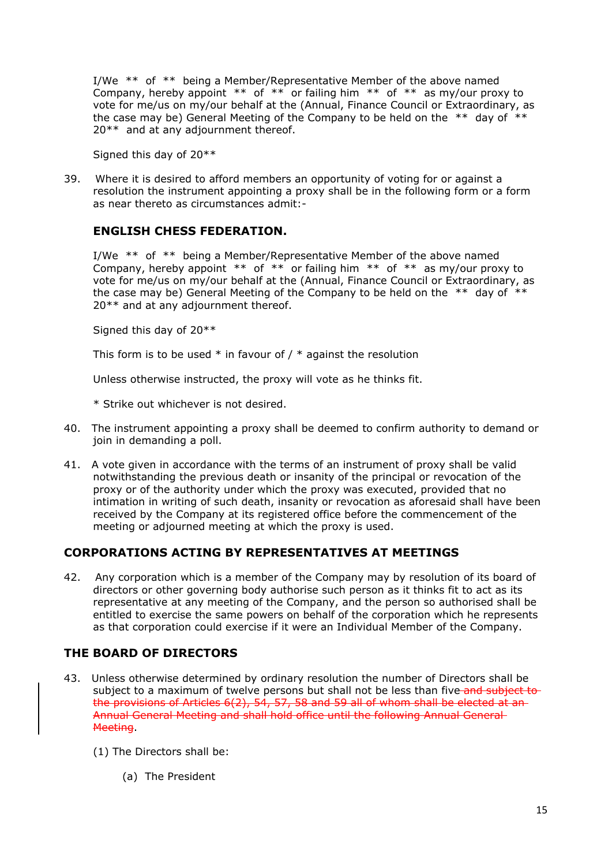I/We \*\* of \*\* being a Member/Representative Member of the above named Company, hereby appoint  $**$  of  $**$  or failing him  $**$  of  $**$  as my/our proxy to vote for me/us on my/our behalf at the (Annual, Finance Council or Extraordinary, as the case may be) General Meeting of the Company to be held on the  $**$  day of  $**$ 20<sup>\*\*</sup> and at any adjournment thereof.

Signed this day of 20\*\*

39. Where it is desired to afford members an opportunity of voting for or against a resolution the instrument appointing a proxy shall be in the following form or a form as near thereto as circumstances admit:-

### **ENGLISH CHESS FEDERATION.**

I/We \*\* of \*\* being a Member/Representative Member of the above named Company, hereby appoint  $**$  of  $**$  or failing him  $**$  of  $**$  as my/our proxy to vote for me/us on my/our behalf at the (Annual, Finance Council or Extraordinary, as the case may be) General Meeting of the Company to be held on the \*\* day of \*\* 20\*\* and at any adjournment thereof.

Signed this day of 20\*\*

This form is to be used  $*$  in favour of  $/ *$  against the resolution

Unless otherwise instructed, the proxy will vote as he thinks fit.

\* Strike out whichever is not desired.

- 40. The instrument appointing a proxy shall be deemed to confirm authority to demand or join in demanding a poll.
- 41. A vote given in accordance with the terms of an instrument of proxy shall be valid notwithstanding the previous death or insanity of the principal or revocation of the proxy or of the authority under which the proxy was executed, provided that no intimation in writing of such death, insanity or revocation as aforesaid shall have been received by the Company at its registered office before the commencement of the meeting or adjourned meeting at which the proxy is used.

# **CORPORATIONS ACTING BY REPRESENTATIVES AT MEETINGS**

42. Any corporation which is a member of the Company may by resolution of its board of directors or other governing body authorise such person as it thinks fit to act as its representative at any meeting of the Company, and the person so authorised shall be entitled to exercise the same powers on behalf of the corporation which he represents as that corporation could exercise if it were an Individual Member of the Company.

# **THE BOARD OF DIRECTORS**

- 43. Unless otherwise determined by ordinary resolution the number of Directors shall be subject to a maximum of twelve persons but shall not be less than five-and subject tothe provisions of Articles 6(2), 54, 57, 58 and 59 all of whom shall be elected at an Annual General Meeting and shall hold office until the following Annual General Meeting.
	- (1) The Directors shall be:
		- (a) The President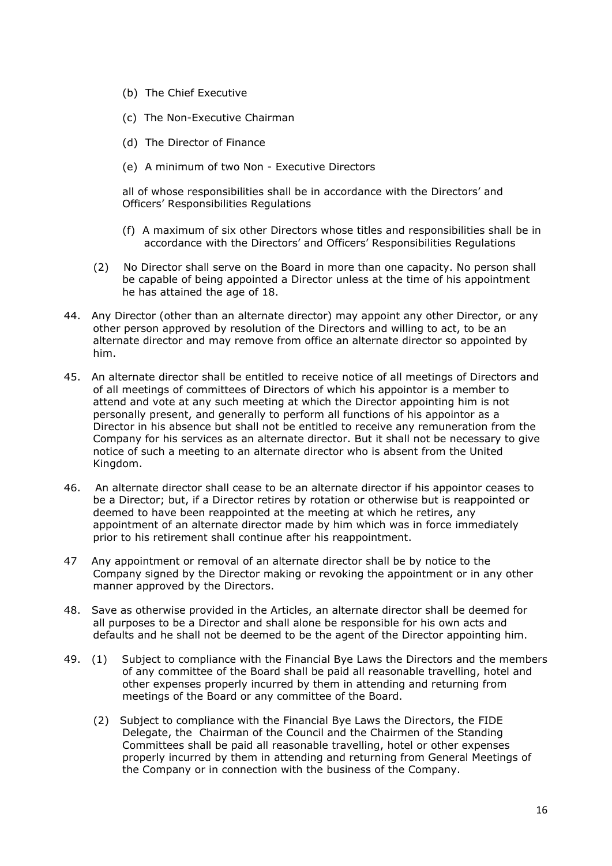- (b) The Chief Executive
- (c) The Non-Executive Chairman
- (d) The Director of Finance
- (e) A minimum of two Non Executive Directors

all of whose responsibilities shall be in accordance with the Directors' and Officers' Responsibilities Regulations

- (f) A maximum of six other Directors whose titles and responsibilities shall be in accordance with the Directors' and Officers' Responsibilities Regulations
- (2) No Director shall serve on the Board in more than one capacity. No person shall be capable of being appointed a Director unless at the time of his appointment he has attained the age of 18.
- 44. Any Director (other than an alternate director) may appoint any other Director, or any other person approved by resolution of the Directors and willing to act, to be an alternate director and may remove from office an alternate director so appointed by him.
- 45. An alternate director shall be entitled to receive notice of all meetings of Directors and of all meetings of committees of Directors of which his appointor is a member to attend and vote at any such meeting at which the Director appointing him is not personally present, and generally to perform all functions of his appointor as a Director in his absence but shall not be entitled to receive any remuneration from the Company for his services as an alternate director. But it shall not be necessary to give notice of such a meeting to an alternate director who is absent from the United Kingdom.
- 46. An alternate director shall cease to be an alternate director if his appointor ceases to be a Director; but, if a Director retires by rotation or otherwise but is reappointed or deemed to have been reappointed at the meeting at which he retires, any appointment of an alternate director made by him which was in force immediately prior to his retirement shall continue after his reappointment.
- 47 Any appointment or removal of an alternate director shall be by notice to the Company signed by the Director making or revoking the appointment or in any other manner approved by the Directors.
- 48. Save as otherwise provided in the Articles, an alternate director shall be deemed for all purposes to be a Director and shall alone be responsible for his own acts and defaults and he shall not be deemed to be the agent of the Director appointing him.
- 49. (1) Subject to compliance with the Financial Bye Laws the Directors and the members of any committee of the Board shall be paid all reasonable travelling, hotel and other expenses properly incurred by them in attending and returning from meetings of the Board or any committee of the Board.
	- (2) Subject to compliance with the Financial Bye Laws the Directors, the FIDE Delegate, the Chairman of the Council and the Chairmen of the Standing Committees shall be paid all reasonable travelling, hotel or other expenses properly incurred by them in attending and returning from General Meetings of the Company or in connection with the business of the Company.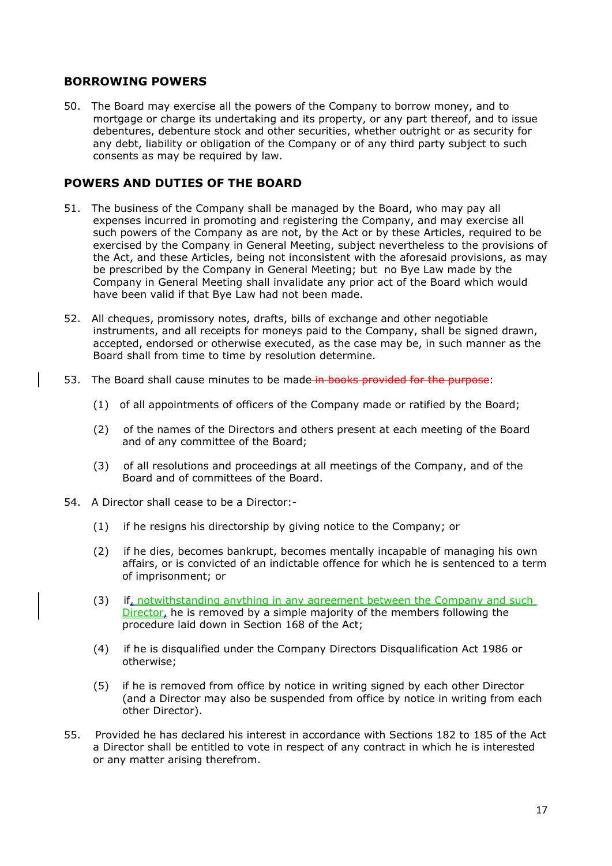### **BORROWING POWERS**

50. The Board may exercise all the powers of the Company to borrow money, and to mortgage or charge its undertaking and its property, or any part thereof, and to issue debentures, debenture stock and other securities, whether outright or as security for any debt, liability or obligation of the Company or of any third party subject to such consents as may be required by law.

#### **POWERS AND DUTIES OF THE BOARD**

- 51. The business of the Company shall be managed by the Board, who may pay all expenses incurred in promoting and registering the Company, and may exercise all such powers of the Company as are not, by the Act or by these Articles, required to be exercised by the Company in General Meeting, subject nevertheless to the provisions of the Act, and these Articles, being not inconsistent with the aforesaid provisions, as may be prescribed by the Company in General Meeting; but no Bye Law made by the Company in General Meeting shall invalidate any prior act of the Board which would have been valid if that Bye Law had not been made.
- 52. All cheques, promissory notes, drafts, bills of exchange and other negotiable instruments, and all receipts for moneys paid to the Company, shall be signed drawn, accepted, endorsed or otherwise executed, as the case may be, in such manner as the Board shall from time to time by resolution determine.
- 53. The Board shall cause minutes to be made in books provided for the purpose:
	- (1) of all appointments of officers of the Company made or ratified by the Board;
	- (2) of the names of the Directors and others present at each meeting of the Board and of any committee of the Board;
	- (3) of all resolutions and proceedings at all meetings of the Company, and of the Board and of committees of the Board.
- 54. A Director shall cease to be a Director:-
	- (1) if he resigns his directorship by giving notice to the Company; or
	- (2) if he dies, becomes bankrupt, becomes mentally incapable of managing his own affairs, or is convicted of an indictable offence for which he is sentenced to a term of imprisonment; or
	- (3) if, notwithstanding anything in any agreement between the Company and such Director, he is removed by a simple majority of the members following the procedure laid down in Section 168 of the Act;
	- (4) if he is disqualified under the Company Directors Disqualification Act 1986 or otherwise;
	- (5) if he is removed from office by notice in writing signed by each other Director (and a Director may also be suspended from office by notice in writing from each other Director).
- 55. Provided he has declared his interest in accordance with Sections 182 to 185 of the Act a Director shall be entitled to vote in respect of any contract in which he is interested or any matter arising therefrom.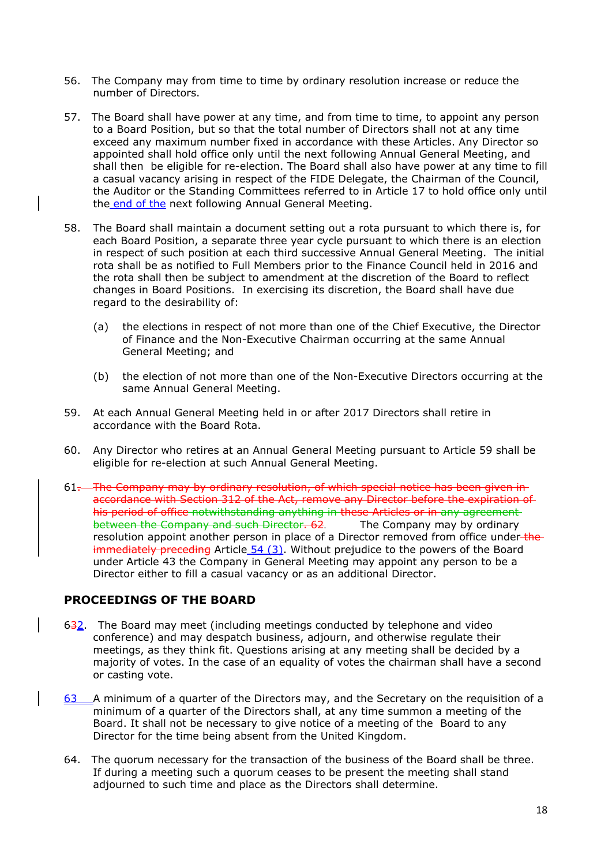- 56. The Company may from time to time by ordinary resolution increase or reduce the number of Directors.
- 57. The Board shall have power at any time, and from time to time, to appoint any person to a Board Position, but so that the total number of Directors shall not at any time exceed any maximum number fixed in accordance with these Articles. Any Director so appointed shall hold office only until the next following Annual General Meeting, and shall then be eligible for re-election. The Board shall also have power at any time to fill a casual vacancy arising in respect of the FIDE Delegate, the Chairman of the Council, the Auditor or the Standing Committees referred to in Article 17 to hold office only until the end of the next following Annual General Meeting.
- 58. The Board shall maintain a document setting out a rota pursuant to which there is, for each Board Position, a separate three year cycle pursuant to which there is an election in respect of such position at each third successive Annual General Meeting. The initial rota shall be as notified to Full Members prior to the Finance Council held in 2016 and the rota shall then be subject to amendment at the discretion of the Board to reflect changes in Board Positions. In exercising its discretion, the Board shall have due regard to the desirability of:
	- (a) the elections in respect of not more than one of the Chief Executive, the Director of Finance and the Non-Executive Chairman occurring at the same Annual General Meeting; and
	- (b) the election of not more than one of the Non-Executive Directors occurring at the same Annual General Meeting.
- 59. At each Annual General Meeting held in or after 2017 Directors shall retire in accordance with the Board Rota.
- 60. Any Director who retires at an Annual General Meeting pursuant to Article 59 shall be eligible for re-election at such Annual General Meeting.
- 61. The Company may by ordinary resolution, of which special notice has been given inaccordance with Section 312 of the Act, remove any Director before the expiration of his period of office notwithstanding anything in these Articles or in any agreement between the Company and such Director. 62. The Company may by ordinary resolution appoint another person in place of a Director removed from office under the immediately preceding Article 54 (3). Without prejudice to the powers of the Board under Article 43 the Company in General Meeting may appoint any person to be a Director either to fill a casual vacancy or as an additional Director.

#### **PROCEEDINGS OF THE BOARD**

- 632. The Board may meet (including meetings conducted by telephone and video conference) and may despatch business, adjourn, and otherwise regulate their meetings, as they think fit. Questions arising at any meeting shall be decided by a majority of votes. In the case of an equality of votes the chairman shall have a second or casting vote.
- 63 A minimum of a quarter of the Directors may, and the Secretary on the requisition of a minimum of a quarter of the Directors shall, at any time summon a meeting of the Board. It shall not be necessary to give notice of a meeting of the Board to any Director for the time being absent from the United Kingdom.
- 64. The quorum necessary for the transaction of the business of the Board shall be three. If during a meeting such a quorum ceases to be present the meeting shall stand adjourned to such time and place as the Directors shall determine.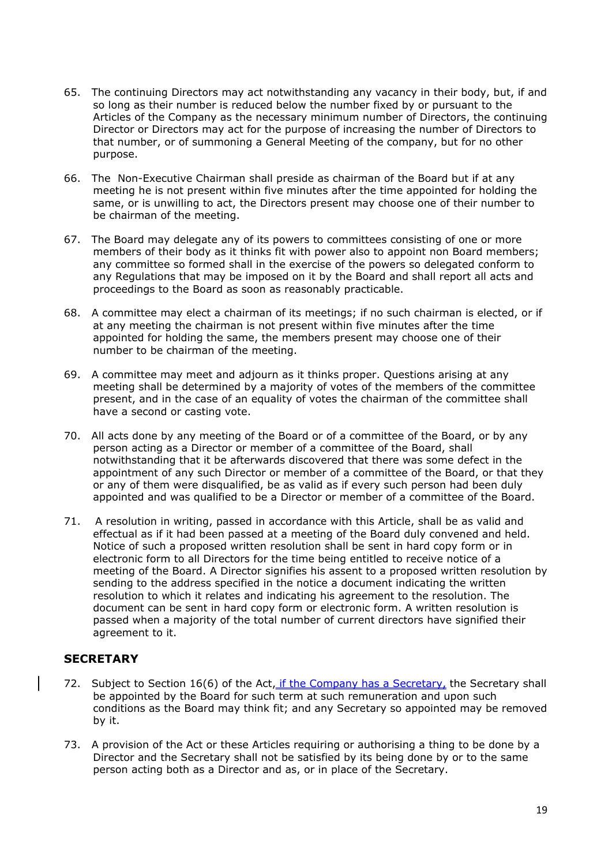- 65. The continuing Directors may act notwithstanding any vacancy in their body, but, if and so long as their number is reduced below the number fixed by or pursuant to the Articles of the Company as the necessary minimum number of Directors, the continuing Director or Directors may act for the purpose of increasing the number of Directors to that number, or of summoning a General Meeting of the company, but for no other purpose.
- 66. The Non-Executive Chairman shall preside as chairman of the Board but if at any meeting he is not present within five minutes after the time appointed for holding the same, or is unwilling to act, the Directors present may choose one of their number to be chairman of the meeting.
- 67. The Board may delegate any of its powers to committees consisting of one or more members of their body as it thinks fit with power also to appoint non Board members; any committee so formed shall in the exercise of the powers so delegated conform to any Regulations that may be imposed on it by the Board and shall report all acts and proceedings to the Board as soon as reasonably practicable.
- 68. A committee may elect a chairman of its meetings; if no such chairman is elected, or if at any meeting the chairman is not present within five minutes after the time appointed for holding the same, the members present may choose one of their number to be chairman of the meeting.
- 69. A committee may meet and adjourn as it thinks proper. Questions arising at any meeting shall be determined by a majority of votes of the members of the committee present, and in the case of an equality of votes the chairman of the committee shall have a second or casting vote.
- 70. All acts done by any meeting of the Board or of a committee of the Board, or by any person acting as a Director or member of a committee of the Board, shall notwithstanding that it be afterwards discovered that there was some defect in the appointment of any such Director or member of a committee of the Board, or that they or any of them were disqualified, be as valid as if every such person had been duly appointed and was qualified to be a Director or member of a committee of the Board.
- 71. A resolution in writing, passed in accordance with this Article, shall be as valid and effectual as if it had been passed at a meeting of the Board duly convened and held. Notice of such a proposed written resolution shall be sent in hard copy form or in electronic form to all Directors for the time being entitled to receive notice of a meeting of the Board. A Director signifies his assent to a proposed written resolution by sending to the address specified in the notice a document indicating the written resolution to which it relates and indicating his agreement to the resolution. The document can be sent in hard copy form or electronic form. A written resolution is passed when a majority of the total number of current directors have signified their agreement to it.

### **SECRETARY**

- 72. Subject to Section 16(6) of the Act, if the Company has a Secretary, the Secretary shall be appointed by the Board for such term at such remuneration and upon such conditions as the Board may think fit; and any Secretary so appointed may be removed by it.
- 73. A provision of the Act or these Articles requiring or authorising a thing to be done by a Director and the Secretary shall not be satisfied by its being done by or to the same person acting both as a Director and as, or in place of the Secretary.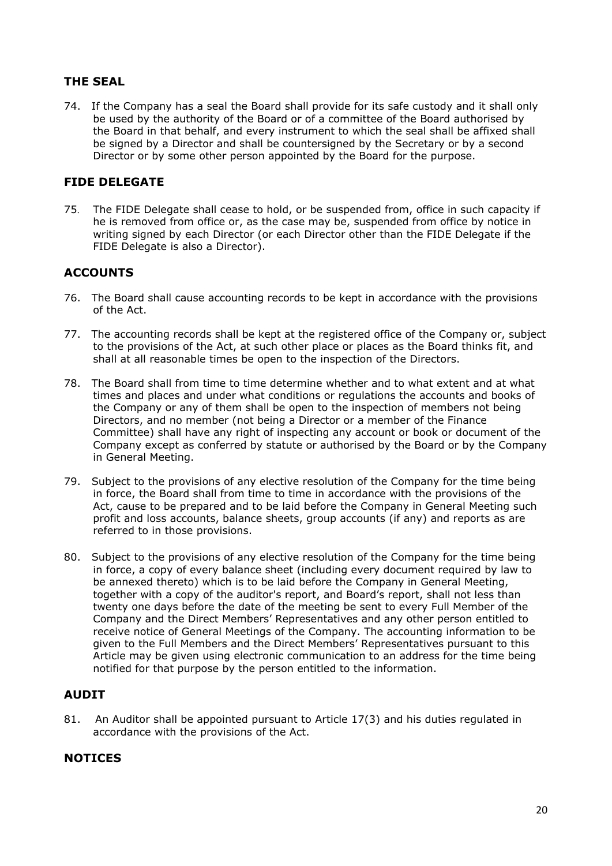# **THE SEAL**

74. If the Company has a seal the Board shall provide for its safe custody and it shall only be used by the authority of the Board or of a committee of the Board authorised by the Board in that behalf, and every instrument to which the seal shall be affixed shall be signed by a Director and shall be countersigned by the Secretary or by a second Director or by some other person appointed by the Board for the purpose.

### **FIDE DELEGATE**

75. The FIDE Delegate shall cease to hold, or be suspended from, office in such capacity if he is removed from office or, as the case may be, suspended from office by notice in writing signed by each Director (or each Director other than the FIDE Delegate if the FIDE Delegate is also a Director).

### **ACCOUNTS**

- 76. The Board shall cause accounting records to be kept in accordance with the provisions of the Act.
- 77. The accounting records shall be kept at the registered office of the Company or, subject to the provisions of the Act, at such other place or places as the Board thinks fit, and shall at all reasonable times be open to the inspection of the Directors.
- 78. The Board shall from time to time determine whether and to what extent and at what times and places and under what conditions or regulations the accounts and books of the Company or any of them shall be open to the inspection of members not being Directors, and no member (not being a Director or a member of the Finance Committee) shall have any right of inspecting any account or book or document of the Company except as conferred by statute or authorised by the Board or by the Company in General Meeting.
- 79. Subject to the provisions of any elective resolution of the Company for the time being in force, the Board shall from time to time in accordance with the provisions of the Act, cause to be prepared and to be laid before the Company in General Meeting such profit and loss accounts, balance sheets, group accounts (if any) and reports as are referred to in those provisions.
- 80. Subject to the provisions of any elective resolution of the Company for the time being in force, a copy of every balance sheet (including every document required by law to be annexed thereto) which is to be laid before the Company in General Meeting, together with a copy of the auditor's report, and Board's report, shall not less than twenty one days before the date of the meeting be sent to every Full Member of the Company and the Direct Members' Representatives and any other person entitled to receive notice of General Meetings of the Company. The accounting information to be given to the Full Members and the Direct Members' Representatives pursuant to this Article may be given using electronic communication to an address for the time being notified for that purpose by the person entitled to the information.

### **AUDIT**

81. An Auditor shall be appointed pursuant to Article 17(3) and his duties regulated in accordance with the provisions of the Act.

#### **NOTICES**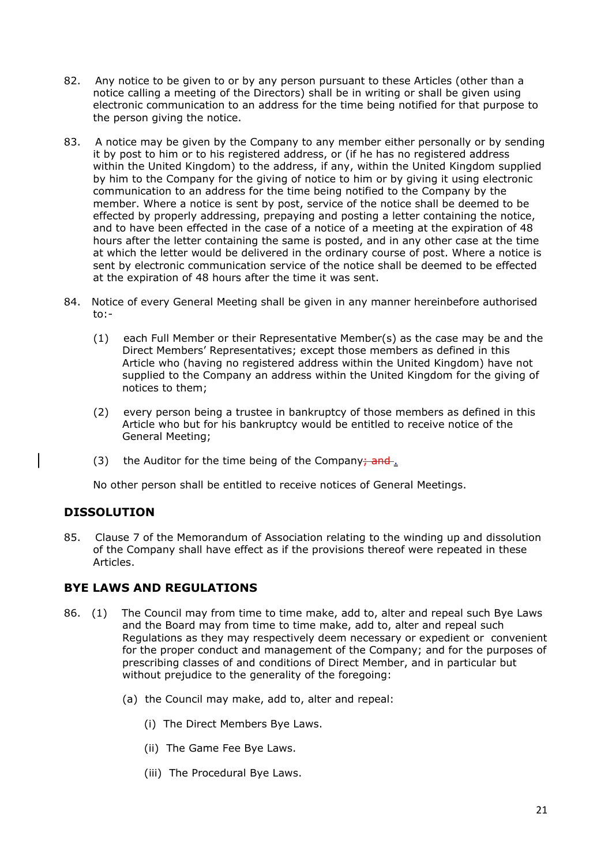- 82. Any notice to be given to or by any person pursuant to these Articles (other than a notice calling a meeting of the Directors) shall be in writing or shall be given using electronic communication to an address for the time being notified for that purpose to the person giving the notice.
- 83. A notice may be given by the Company to any member either personally or by sending it by post to him or to his registered address, or (if he has no registered address within the United Kingdom) to the address, if any, within the United Kingdom supplied by him to the Company for the giving of notice to him or by giving it using electronic communication to an address for the time being notified to the Company by the member. Where a notice is sent by post, service of the notice shall be deemed to be effected by properly addressing, prepaying and posting a letter containing the notice, and to have been effected in the case of a notice of a meeting at the expiration of 48 hours after the letter containing the same is posted, and in any other case at the time at which the letter would be delivered in the ordinary course of post. Where a notice is sent by electronic communication service of the notice shall be deemed to be effected at the expiration of 48 hours after the time it was sent.
- 84. Notice of every General Meeting shall be given in any manner hereinbefore authorised to:-
	- (1) each Full Member or their Representative Member(s) as the case may be and the Direct Members' Representatives; except those members as defined in this Article who (having no registered address within the United Kingdom) have not supplied to the Company an address within the United Kingdom for the giving of notices to them;
	- (2) every person being a trustee in bankruptcy of those members as defined in this Article who but for his bankruptcy would be entitled to receive notice of the General Meeting;
	- (3) the Auditor for the time being of the Company; and  $\frac{1}{2}$

No other person shall be entitled to receive notices of General Meetings.

# **DISSOLUTION**

85. Clause 7 of the Memorandum of Association relating to the winding up and dissolution of the Company shall have effect as if the provisions thereof were repeated in these Articles.

#### **BYE LAWS AND REGULATIONS**

- 86. (1) The Council may from time to time make, add to, alter and repeal such Bye Laws and the Board may from time to time make, add to, alter and repeal such Regulations as they may respectively deem necessary or expedient or convenient for the proper conduct and management of the Company; and for the purposes of prescribing classes of and conditions of Direct Member, and in particular but without prejudice to the generality of the foregoing:
	- (a) the Council may make, add to, alter and repeal:
		- (i) The Direct Members Bye Laws.
		- (ii) The Game Fee Bye Laws.
		- (iii) The Procedural Bye Laws.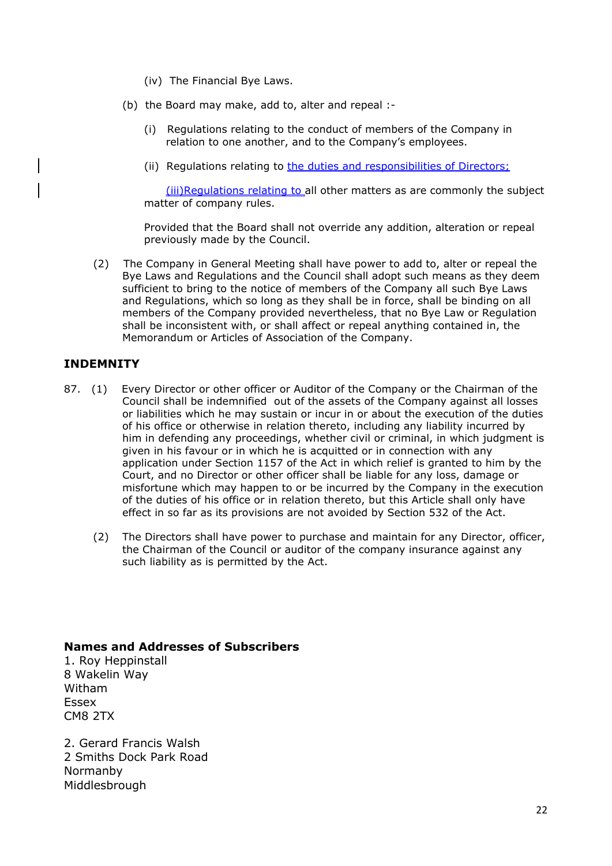- (iv) The Financial Bye Laws.
- (b) the Board may make, add to, alter and repeal :-
	- (i) Regulations relating to the conduct of members of the Company in relation to one another, and to the Company's employees.
	- (ii) Regulations relating to the duties and responsibilities of Directors;

(iii)Regulations relating to all other matters as are commonly the subject matter of company rules.

Provided that the Board shall not override any addition, alteration or repeal previously made by the Council.

(2) The Company in General Meeting shall have power to add to, alter or repeal the Bye Laws and Regulations and the Council shall adopt such means as they deem sufficient to bring to the notice of members of the Company all such Bye Laws and Regulations, which so long as they shall be in force, shall be binding on all members of the Company provided nevertheless, that no Bye Law or Regulation shall be inconsistent with, or shall affect or repeal anything contained in, the Memorandum or Articles of Association of the Company.

### **INDEMNITY**

- 87. (1) Every Director or other officer or Auditor of the Company or the Chairman of the Council shall be indemnified out of the assets of the Company against all losses or liabilities which he may sustain or incur in or about the execution of the duties of his office or otherwise in relation thereto, including any liability incurred by him in defending any proceedings, whether civil or criminal, in which judgment is given in his favour or in which he is acquitted or in connection with any application under Section 1157 of the Act in which relief is granted to him by the Court, and no Director or other officer shall be liable for any loss, damage or misfortune which may happen to or be incurred by the Company in the execution of the duties of his office or in relation thereto, but this Article shall only have effect in so far as its provisions are not avoided by Section 532 of the Act.
	- (2) The Directors shall have power to purchase and maintain for any Director, officer, the Chairman of the Council or auditor of the company insurance against any such liability as is permitted by the Act.

#### **Names and Addresses of Subscribers**

1. Roy Heppinstall 8 Wakelin Way Witham Essex CM8 2TX

2. Gerard Francis Walsh 2 Smiths Dock Park Road Normanby Middlesbrough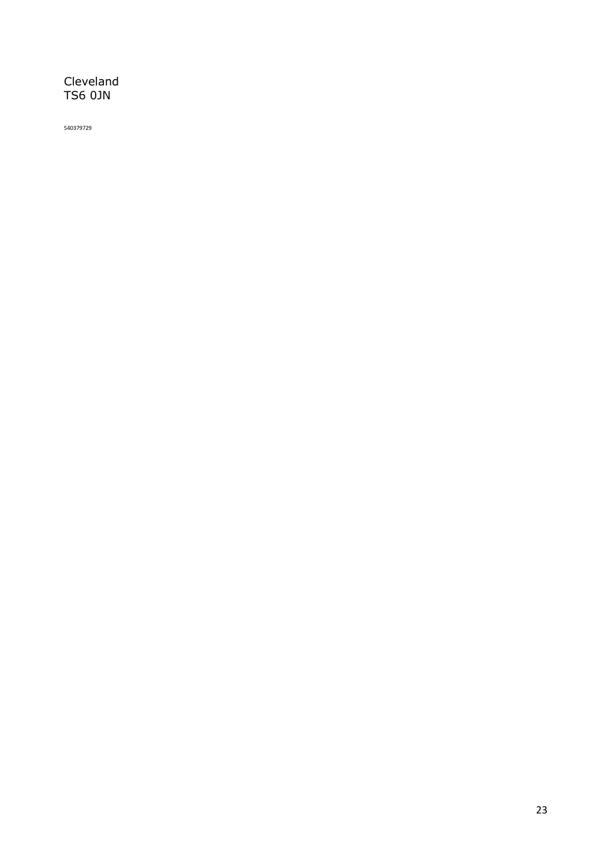# Cleveland TS6 0JN

540379729